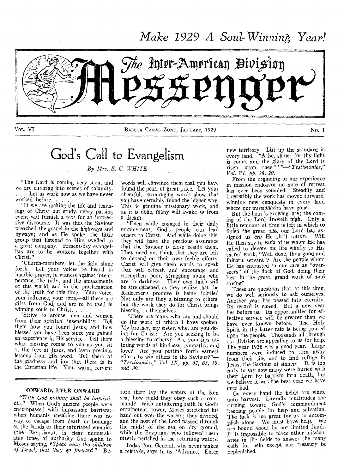*Make 1929 A Soul-WinninA Year!* 



VOL. VI BALBOA CANAL ZONE, JANUARY, 1929 No. 1

# God's Call to Evangelism

*By Mrs. E. G. WHITE* 

"The Lord is coming very soon, and we are entering into scenes of calamity, . . . Let us work now as we have never worked before. .

"If we are making the life and teachings of Christ our study, every passing event will furnish a text for an impressive discourse. It was thus the Saviour preached the gospel in the highways and byways; and as He spoke, the little group that listened to Him swelled to a great company. Present-day evangelists are to be workers together with Christ."

"Church-members, let the light shine forth. Let your voices be heard in humble prayer, in witness against intemperance, the folly, and the amusements of this world, and in the proclamation of the truth for this time. Your voice, your influence, your time,—all these are gifts from God, and are to be used in winning souls to Christ...

"Strive to arouse men and women from their spiritual insensibility. Tell them how you found Jesus, and how blessed you have been since you gained an experience in His service. Tell them what blessing comes to you as you sit at the feet of Jesus, and learn precious lessons from His word. Tell them of the gladness and joy that there is in the Christian life. Your warm, fervent

words will convince them that you have found the pearl of great price. Let your cheerful, encouraging words show that you have certainly found the higher way. This is genuine missionary work, and as it is done, many will awake as from a dream.

"Even while engaged in their daily ernployment, God's people can lead others to Christ. And while doing this, they will have the precious assurance that the Saviour is close beside them. They need not think that they are left to depend on their own feeble efforts. Christ will give thein words to speak that will refresh and encourage and strengthen poor, struggling souls who are in darkness: Their own faith will be strengthened, as they realize that the Redeemer's promise is being fulfilled Not only are they a blessing to others, but the work they do for Christ brings blessing to themselves.

"There are many who can and should do the work of which I have spoken. My brother, my sister, what are you doing for Christ? Are you seeking to be a blessing to others? Are your lips uttering words of kindness, sympathy, and love? Are you putting forth earnest efforts to win others to the Saviour?"— *"Testimonies," Vol. IX, pp. 62, 63, 38, and 39.* 

#### ONWARD, EVER ONWARD

*"With God nothing shall be impossi*ble." When God's ancient people were encompassed with impassable barriers; when humanly speaking there was no way of escape from death or bondage at the hands of their infuriated enemies (the Egyptians), in clear unmistakable tones of authority God spake to Moses saying, *"Speak unto the children of Israel, that they go forward."* Be-

fore them lay the waters of the Red *sea;* how could they obey such a command? With unfaltering faith in God's omnipotent power, Moses stretched his hand out over the waters; they divided, and the host of the Lord passed through the *midst* of the sea on dry ground, while the Egyptians who followed them utterly perished in the returning waters.

Today "our General, who never makes a mistalee, says to us, 'Advance. Enter new territory. Lift up the standard in every land. "Arise, shine; for thy light is come, and the glory of the Lord is risen upon thee."' *"—"Testimonies," Vol. VI, pp. 28, 29.* 

From the beginning of our experience in mission endeavor no note of retreat has ever been sounded. Steadily and irresistibly the work has moved forward, winning new conquests in every land where our missionaries have gone.

But the hour is growing late; the coming of the Lord draweth nigh. Only a little remnant of time is left in which to finish the great task our Lord has assigned us ere He shall return. Will He then say to each of us whom He has called to devote his life wholly to His sacred work, "Well done, thou good and faithful servant"? Are the people whom He has entrusted to our care as "overseers" of the flock of God, doing their best in the great, grand work of soul saving?

These are questions that, at this time, we do well seriously to ask ourselves. Another year has passed into eternity. Its record is closed. But a new year lies before us. Its opportunities for effective service will be greater than we have ever known before. The Holy Spirit in the latter rain is being poured upon the people. Thousands all through our division are appealing to us for help. The year 1928 was a good year. Large numbers were induced to turn away from their sins and to find refuge in Jesus, the Saviour of sinners. It is too early to say how many *were* buried with their Lord by baptism into death, but we believe it was the best year we have ever had.

On every hand the fields are white unto harvest. Literally multitudes are turning toward God's commandment keeping people for help and salvation. The task is too great for us to accomplish alone. We must have help. We are bound about by our limited funds. It is impossible to place other missionaries in the fields to answer the many 'calls for help except our treasury be replenished.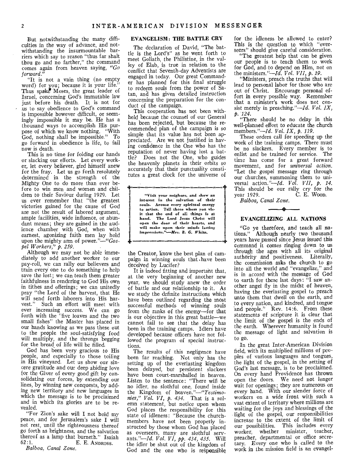But notwithstanding the many difficulties in the way of advance, and notwithstanding the insurmountable barriers which say to reason "thus far shalt thou go and no farther," the command comes again from heaven saying, *"Go forward."* 

"It is not a vain thing (no empty word) for you; because it is your life." Thus spake Moses, the great leader of Israel, concerning God's immutable law just before his death. It is not for us to say obedience to God's command is impossible however difficult, or seemingly impossible it may be. He has a thousand ways to accomplish His purpose of which we know nothing. "With God, nothing shall be impossible." To go forward in obedience is life, to fail now is death.

This is no time for folding our hands or slacking our efforts. Let every worker, let every believer, gird himself anew for the fray. Let us go forth resolutely determined in the strength of the Mighty One to do more than ever before to win men and women and children to their Saviour during 1929. Let us ever remember that "the greatest victories gained for the cause of God are not the result of labored argument, ample facilities, wide influence, or abundant means; they are gained in the audience chamber with God, when with earnest, agonizing faith men lay hold upon the mighty arm of *power."—"Gospel Workers," p. 259.* 

Although we may not be able immediately to add another worker to our pay-roll, we can rally our believers and train every one to do something to help save the lost; we can teach them greater faithfulness in rendering to God His own in tithes and offerings; we can unitedly pray "the Lord of the harvest, that He will send forth laborers into His harvest." Such an effort will meet with ever increasing success. We can go forth with the "five loaves and the two small fishes" the Master has placed in our hands knowing as we pass these out to the people the soul-satisfying food will multiply, and the throngs begging for the bread of life will be filled.

God has been very gracious to His people, and especially to those toiling in His vineyard. Let us show our sincere gratitude and our deep abiding love for the Giver of every good gift by consolidating our forces, by extending our lines, by winning new conquests, by adding new territory and new languages in which the message is to be proclaimed and in which its glories are to be revealed.

"For Zion's sake will I not hold my peace, and for Jerusalem's sake I will not rest, until the righteousness thereof go forth as brightness, and the salvation thereof as a lamp that burneth." Isaiah  $62:1$ .<br>E. E. ANDROSS E. E. ANDROSS.

*Balboa, Canal Zone,* 

### EVANGELISM: THE BATTLE CRY

The declaration of David, "The battle is the Lord's" as he went forth to meet Goliath, the Philistine, in the valley of Elab, is true in relation to the conflict that Seventh-day Adventists are engaged in today. Our great Commander has planned for this final struggle to redeem souls from the power of Satan, and has given detailed instruction concerning the preparation for the conduct of the campaign.

This cooperation has not been withheld because the counsel of our General has been rejected, but because the recommended plan of the campaign is so simple that its value has not been appreciated. Are we not justified in having confidence in the One who has the reputation of never having lost a battle? Does not the One, who guides the heavenly planets in their orbits so accurately that their punctuality constitutes a great clock for the universe of

"Visit your neighors, and show an interest in the salvation of their souls. Arouse every spiritual energy to action. Tell those whom you vis-it that the end of all things is at hand. The Lord Jesus Christ will open the door of their hearts, and will make upon their minds lasting, impressions."—Mrs. *E. G. White.*  1 110 ni UN nn III ni II I •In n+

the Creator, know the best plan of campaign in winning souls that .have been deceived by Lucifer?

It is indeed fitting and important that, at the very beginning of another new year, we should study anew the order of battle and our relationship to it. As we study the definite instructions which have been outlined regarding the most successful methods of winning souls from the ranks of the enemy—for that is our objective in this great battle—we cannot fail to see that the delay has been in the training camps. Idlers have developed because officers have not followed the program of special instructions.

The results of this negligence have been far reaching. Not only has the setting up of the everlasting kingdom been delayed, but persistent slackers have been court-marshalled in heaven. Listen to the sentence: "There will be no idler, no slothful one, found inside the Kingdom of *heaven."—"Testimonies," Vol. VI, p. 434.* That is a solemn statement, but notice upon whom God places the responsibility for this state of idleness: "Because the churchmembers have not been properly instructed by those whom God has placed as overseers, many are slothful servants."—Id. *Vol. VI, pp. 434, 435.* Wilt the idler be shut out of the kingdom of God and the one who is responsible

for the idleness be allowed to enter? This is the question to which "overseers" should give careful consideration.

"The greatest help that can be given our people is to teach them to work for God, and-to depend on Him, not on the ministers."—Id. *Vol. VII, p. 19.* 

"Ministers, preach the truths that will lead to personal labor for those who are out of Christ. Encourage personal effort in every possible way. Remember that a minister's work does not consist merely in preaching."—Id. *Vol, IX, p.'124.* 

"There should be no delay in this well-planned effort to educate the church members."—Id. *Vol. IX, p. 119.* 

These orders call for speeding up the work of the training camps. There must be no slackers. Every member is to enlist and be trained for service. The time has come for a great forward movement, and for *universal action.*  "Let the gospel message ring through our churches, summoning them to uni-versal action."—Id. *Vol. VII, p. 14.*  This should be our rally cry for the year 1929. C. E. WooD.

*Balboa, Canal Zone.* 

## 48 EVANGELIZING ALL NATIONS

"Go ye therefore, and teach all nations." Although nearly two thousand years have passed since Jesus issued this command it comes ringing down to us through the ages with all its original authority and positiveness. Literally, the commission asks the church to go into all the world and "evangelize," and is in accord with the message of God to earth for these last days: "I saw another angel fly in the midst of heaven, having the everlasting gospel to preach unto them that dwell on the earth, and to every nation, and kindred, and tongue and people." Rev. 14:6. From these statements of scripture it is clear that the limit of the gospel is the ends of the earth. Wherever humanity is found the message of light and salvation is to go.

In the great Inter-American Division field, with its multiplied millions of peoples of various languages and tongues, the light of the gospel, in the setting of God's last message, is to be proclaimed. On every hand Providence has thrown open the doors. We need not longer wait for openings; they are numerous on every hand. With our slender force of workers on a wide front with such a vast extent of territory where millions are waiting for the joys and blessings of the light of the gospel, our responsibilities increase to the extent of the limit of our possibilities. This includes every worker, whether minister, teacher, preacher, departmental or office secretary. Every one who is called to the work in the mission field is an evangel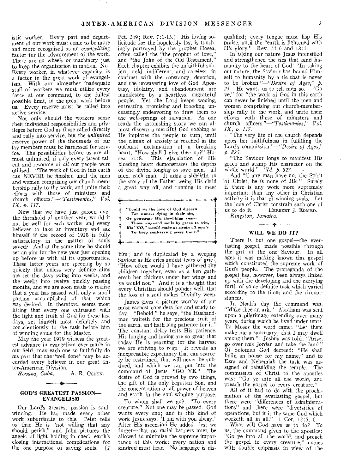istic worker. Every part and department of our work must come to be more and more recognized as an *evangelizing*  factor for the advancement of the work. There are no wheels or machinery just to keep the organization in motion. No! Every worker, in whatever capacity, is a factor in the great work of evangelism. With our altogether inadequate staff of workers we must utilize every force at our command, to the fullest possible limit, in the great work before us. Every reserve must be called into active service.

Not only should the workers sense their individual responsibilities and privileges before God as those called directly and fully into service, but the *unlimited*  reserve power of the thousands of our lay members must be harnessed for service. The possibilities before us are almost unlimited, if only every latent talent and resource of *all* our people were utilized. "The work of God in this earth can NEVER be finished until the men and women comprising our church-membership rally to the work, and unite their efforts with those of ministers and church *officers."---"Testimonies," Vol. IX, p. 117.* 

Now that we have just passed over the threshold of another year, would it not be well for each worker and every believer to take an inventory and ask himself if the record of 1928 is fully satisfactory in the matter of souls saved? And at the same time he should set an aim for the new year just opening up before us with all its opportunities. These latter years are speeding by so quickly that unless very definite aims are set the days swing into weeks, and the weeks into twelve quickly passing months, and we are soon made to realize that a year has passed with only a small portion accomplished of that which was desired. It, therefore, seems most fitting that every one entrusted with the light and truth of God for these last days, set himself most definitely and conscientiously to the task before him of winning souls for the Master.

May the year 1929 witness the greatest advance in evangelism ever made in our field; may each one so faithfully do his part that the "well done" may be accorded every believer in our great Inter-American Division.

Havana, Cuba. A. R. OGDEN. ري.<br>مو

#### GOD'S GREATEST PASSION— EVANGELISM

Our Lord's greatest passion is soulwinning. He has made every other work subordinate to this. Peter tells us that He is "not willing that any should perish," and John pictures the angels of light holding in check earth's closing international complications for the one purpose of saving souls. (2

Pet. 3:9; Rev. 7:1-13.) His loving solicitude for the hopelessly lost is touchingly portrayed by the prophet Hosea, often called the "the prophet of love, and "the John of the Old Testament." Each chapter exhibits the unfaithful subject, cold, indifferent, and careless, in contrast with the constancy, devotion, and the unwavering love of God. Apostasy, idolatry, and abandonment are manifested by a heartless, ungrateful people. Yet the Lord keeps wooing, entreating, promising and brooding, unceasingly endeavoring to draw them to the well-springs of salvation. As one reads the astonishing story we can almost discern a merciful God sobbing as He implores the people to turn, until the climax of anxiety is reached in the outburst exclamation of a breaking heart, "How shall I give thee up?" Ho-<br>sea 11:8. This ejaculation of His bleeding heart demonstrates the depths of the divine longing to save men,—all men, each man. It adds a sidelight to the story of the Father seeing His child a great way off, and running to meet

"Could we the love of God discern For sinners dying in their sin, Or penetrate His throbbing yearn Those wayward souls by grace to win, *His "GO," would make us strain all pow'r*  To keep soul-saving every hour." f

t 111 - 1111 - 112 - 113 - 114 - 114 - 114 - 114 - 114 - 114 - 114 - 114 - 114 - 114 - 114 - 114 - 114 - 114 -

him; and is duplicated by a weeping Saviour as He cries amidst tears of grief, "How often would I have gathered .thy children together, even as a hen gathereth her chickens under her wings and ye would not." And it is a thought that every Christian should ponder well, that the loss of a soul makes Divinity weep.

James gives a picture worthy of our most earnest consideration and study today. "Behold," he says, "the Husbandman waiteth for the precious fruit of the earth, and hath long patience for it." The constant delay tests His patience. His longing and loving are so great that today He is yearning for the harvest we are striving to reap. It reveals an inexpressible expectancy that can scarcely be restrained, that will never be subdued, and which we can put into the command of Jesus, "GO YE." The desire of God is proved by two things, the gift of His only begotten Son, and the concentration of all power of heaven and earth in the soul-winning purpose.

To whom shall we go? "To every creature." Not one may be passed. God wants every one; and in this kind of work Jesus says, "I am with you alway." After His ascension He added—lest we forget—that no racial barriers must be allowed to minimize the supreme importance of this work: every nation and kindred must hear. No language is disqualified; every tongue must lisp His praise, until the "earth is lightened with His glory." Rev. 14:6 and 18:1.

In taking our nature Jesus intensified and strengthened the ties that bind humanity to the heart of God: "In taking out nature, the Saviour has bound Himself to humanity by a tie that is never to be *broken."—"Desire of Ages," p. 25.* He wants us to tell men so. "Go ye," for "the work of God in this earth can never be finished until the men and women comprising our church-membership rally to the work, and unite their efforts with those of ministers and church *officers."--"Testimonies," Vol. IX, p. 117.* 

. "The very life of the church depends upon her faithfulness in fulfilling the Lord's commission.''—"Desire *of Ages," p. 825.* 

"The Saviour longs to manifest His grace and stamp His character on the whole world."— $^{2}4d$ . *p. 827.* 

And "if any man have not the Spirit `of Christ, he is none of His." Surely if there is any work more supremely important than any other in Christian activity it is that of winning souls. Let the love of Christ constrain each one of HERBERT J. EDMED.

*Kingston, Jamaica.* 

#### $\longrightarrow$ WILL WE DO IT?

There is but one gospel—the everlasting gospel, made possible through the gift of the one Saviour. In all ages it was making known this gospel which constituted the supreme work of God's people. The propaganda of the gospel has, however, been always linked up with the developing and the carrying forth of some definite task which varied according to the times and the circumstances.

In Noah's day the command was, "Make thee an ark." Abraham was sent upon a pilgrimage extending over many years, during which he lived under tents. To Moses the word came: "Let them make me a sanctuary; that I may dwell among them." Joshua was told: "Arise, go over this Jordan and take the land." Of Solomon God decreed: "He shall build an house for my name," and to Ezra and Nehemiah the task was assigned of rebuilding the temple. The commission of Christ to the apostles was: "Go ye into all the world, *and*  preach the gospel to every creature."

All of it had to do with the proclamation of the everlasting gospel, but there were "differences of administrations" and there were "diversities of operations, but it is the same God which worketh all in all." 1 Cor. 12:5, 6.

What will God have us to do? To us, the command given to the apostles: "Go ye into all the world, and preach the gospel to every creature," comes with double emphasis in view of the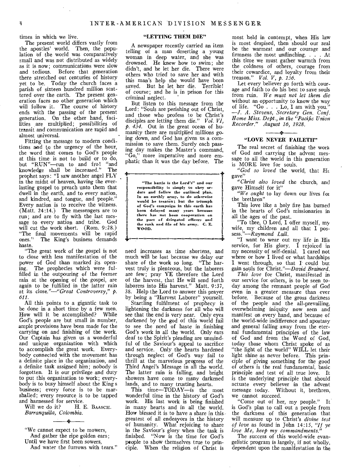times in which we live.

The present world differs vastly from the apostles' world. Then, the population of the world was comparatively small and was not distributed as widely as it is now; communications were slow and tedious. Before that generation there stretched out centuries of history yet to be. Today the church faces a parish of sixteen hundred million scattered over the earth. The present generation faces no other generation which will follow it. The course of history ends with the passing of the present generation. On the other hand, facilities are multiplied; possibilities of transit and communication are rapid and almost universal.

Fitting the message to modern conditions and to the urgency of the hour, the word that comes to God's people at this time is not to build or to do, but "RUN"—run to and fro! "and knowledge shall be increased." The prophet says: "I saw another angel FLY in the midst of heaven, having the everlasting gospel to preach unto them that dwell in the earth, and to every nation, and kindred, and tongue, and people." Every nation is to receive the witness. (Matt. 24:14.) The messengers are to run; and are to fly with the last message to every nation and tribe. God will cut the work short. (Rom. 9:28.) "The final movements will be rapid ones." The King's business demands haste.

"The great work of the gospel is not to close with less manifestation of the power of God than marked its opening. The prophecies which were fulfilled in the outpouring of the former rain at the opening of the gospel, are again to be fulfilled in the latter rain at its *close."—"Great Controversy," p. 611.* 

All this points to a gigantic task to be done in a short time by a few men. How will it be accomplished? While God's people are but small in number, ample provisions have been made for the carrying on and finishing of the work. Our Captain has given us a wonderful and unique organization with which to accomplish the great work. Everybody connected with the movement has a definite place in the organization, and a definite task assigned him; nobody is forgotten. It is our privilege and duty to put this organization to work; everybody is to busy himself about the King s business; every force is to be marshalled; every resource is to be tapped and harnessed for service.

Will we do it? H. E. BAASCH. *Barranquilla, Colombia.* 

#### - 2

"We cannot expect to be mowers,

And gather the ripe golden ears;

Until we have first been sowers,

And water the furrows with tears."

#### "LETTING THEM DIE"

A newspaper recently carried an item telling of a man deserting a young woman in deep water, and she was drowned. He knew how to swim; she didn't, and he let her die. There were others who tried to save her and with this man's help she would have been saved. But he let her die. Terrible! of course; and he is in prison for this criminal neglect.

But listen to this message from the Lord: "Souls are perishing out of Christ, and those who profess to be Christ's disciples are letting them die." *Vol. VI*. *p. 434.* Out in the great ocean of humanity there are multiplied millions going down, and God has given us a commission to save them. Surely each passing day makes the Master's command, "Go," more imperative and more emphatic than it was the day before. The

"The battle is the Lord's" and our responsibility is simply to obey or-ders and follow the outlined plan. In an earthly army, to do otherwise would be treason; but the triumph of God's campaign in this earth has been delayed many years because there has not been cooperation on the *part* of delegated officers and the rank and file of his army. C. E. WOOD.

need increases as time shortens, and much will be lost because we delay our share of the work so long, "The harvest truly is plenteous, but the laborers are few; pray YE therefore the Lord of the harvest, that He will send forth laborers into His harvest." Matt. 9:37, 38. Help the Lord to answer this prayer by being a "Harvest Laborer" yourself.

Startling fulfilment of prophecy is lightening the darkness for all who will see that the end is very near. Only eyes darkened by the god of this world fail to see the need of haste in finishing God's work in all the world. Only ears deaf to the Spirit's pleading are unmindful of the Saviour's appeal to sacrifice and service. Only the hearts hardened through neglect of God's way fail to thrill at the marvelous progress of the Third Angel's Message in all the world. The latter rain is falling, and bright showers have come to many darkened lands, and to many trusting hearts.

This time—TODAY—is the most wonderful time in the history of God's work. His last work is being finished in many hearts and in all the world. How blessed it is to have a share in thisgreatest of all endeayors in the history of humanity. What rejoicing to share in the Saviour's glory when the task is finished. "Now is the time for God's people to show themselves true to principle. When the religion of Christ is

most held in contempt, when His law is most despised, then should our zeal be the warmest and our courage and firmness the most unflinching. . . . At this time we must gather warmth from the coldness of others, courage from their cowardice, and loyalty from their treason." *Vol. V, p. 136.* 

Let every believer go forth with courage and faith to do his best to save souls from ruin. *We must not let them die*  without an opportunity to know the way of life. "Go. . . Lo, I am with you. *—J. A. Stevens, Secretary Gen. Conf. Home Miss. Dept., in the "Pacific Union Recorder." August 16, 1928.* 

#### Ą. "LOVE NEVER FAILETH"

The real secret of finishing the work of God and carrying the advent message to all the world in this generation is MORE love for souls.

*"God so loved* the world, that Ht gave"

*"Christ also loved* the church, and gave Himself for it"

*"We ought* to lay down our lives fat the brethren"

This love like a holy fire has burned in the hearts of God's missionaries in all the ages of the past.

"To thee, 0 Lord, I offer myself, my wife, my children and all that I possess. *"—Raymond Lull.* 

"I want to wear out my life in His service, for His glory. I rejoiced in my necessity of self-denial. I cared not where or how I lived or what hardships I went through, so that I could but gain souls for Christ."—David *Brainerd.* 

*This love* for Christ, manifested in our service for others, is to be seen today among the remnant people of God even in a greater measure than ever before. Because of the gross darkness of the people and the all-prevailing, overwhelming iniquity now seen and manifest on every hand, and because of the world-wide indifference and apostasy and general falling away from the eternal fundamental principles of the law of God and from the Word of God, today those whom Christ spoke of as "the light of the world" WILL let their light shine as never before. This principle of giving something for the good of others is the real fundamental, basic principle and test of all true love. It is the underlying principle that should actuate every believer in the advent message today. Without it, brethren, we cannot succeed.

"Come out of her, my people." It is God's plan to call out a people from the darkness of this generation that will measure up to Christ's *divine test of love* as found in John 14:15, *"If ye love Me, keep my commandments."* 

The success of this world-wide evangelistic program is largely, if not wholly, dependent upon the manifestation in the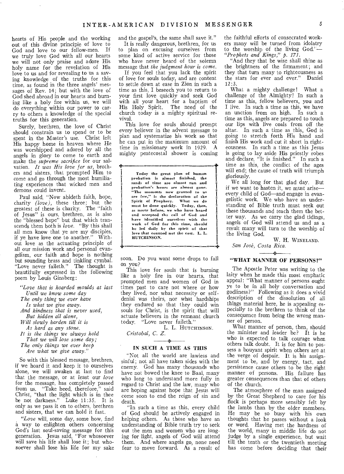hearts of His people and the working out of this divine principle of love to God and love to our fellow-men. If we truly love God with all our hearts we will not only praise and adore His holy name for the revelation of His love to us and for revealing to us a saving knowledge of the truths for this time, as found in the three angels' messages of Rev. 14; but with the love of God shed abroad in our hearts and burning like a holy fire within us, we will do everything within our power to carry to others a knowledge of the special truths for this generation.

Surely, brethren, the love of Christ should constrain us to spend or to be spent in the Master's use. Christ left His happy home in heaven where He was worshipped and adored by all the angels in glory to come to earth and make the *supreme sacrifice* for our salvation. *It was His love for us,* brothers and sisters, that prompted Him to come and go through the most humiliating experiences that wicked men and demons could invent.

Paul said, "Now abideth faith, hope, charity *(love),* these three; but the greatest of these is charity. The "faith of Jesus" is ours, brethren, as is also the "blessed hope" but that which transcends them both is *love.* "By this shall all men know that ye are my disciples, if ye have love one to another." Without love as the actuating principle of all our mission work and personal evangelism, our faith and hope is nothing but sounding brass and tinkling cymbal. "Love never faileth." The thought is beautifully expressed in the following poem by Louis Ginsberg:

*"Love that is hoarded moulds at last Until we know some day* 

*The only thing we ever have* 

*Is what we give away.* 

*And kindness that is never used, But hidden all alone,* 

*Will slowly harden till it is* 

*As hard as any stone.* 

*It is the things we always hold* 

*That we will lose some day; The only things we ever keep* 

*Are what we give away."* 

So with this blessed message, brethren, if we hoard it and keep it to ourselves alone, we will awaken at last to find that the message, or at least our *love*  for the message, has completely passed from us. "Take heed, therefore," said Christ, "that the light which is in thee be not darkness." Luke 11:35. It is only as we pass it on to others, brethren and sisters, that we can hold it fast.

*, "Love* will, some day, some how, find a way to enlighten others concerning God's last soul-saving message for this generation. Jesus said, "For whosoever will save his life shall lose it; but whosoever shall lose his life for my sake

and the gospel's, the same shall save it."

It is really dangerous, brethren, for us to plan on excusing ourselves from some kind of active service for those who have never heard of the solemn message that *the judgment hour is come.* 

If you feel that you lack the spirit of love for souls today, and are content to settle down at ease in Zion in such a time as this, I beseech you to return to your first love quickly and seek God with all your heart for a baptism of His Holy Spirit. The need of the church today is a mighty spiritual revival.

This love for souls should prompt every believer in the advent message to plan and systematize his work so that he can put in the maximum amount of time in missionary work in 1929. A mighty pentecostal shower is coming

الا <del>عليه المسمى المسمى المسمى المسمى</del> المسمى المسمى المسمى المسمى المسمى المسمى

Today the great plan of human probation is almost finished, the sands of time are almost run and probation's hours are almost gone. "The moments now granted to us are few," is the declaration of the Spirit of Prophecy. What we do must be done quickly. Today, then, as never before, we who have heard and accepted the call of God and have identified ourselves with the work of God for this time, should be led daily by the spirit of that love that counted not the cost. L. L. HUTCHINSON.

soon. Do you want some drops to fall on you?

This love for souls that is burning like a holy fire in our hearts, that prompted men and women of God in times past to care not where or how they lived, nor what necessity or selfdenial was theirs, nor what hardships they endured so that they could win souls for Christ, is the spirit that will actuate believers in the remnant church today. "Love never faileth."

L. L. HUTCHINSON. *Cristobal, C. Z.* 

#### 4:1 IN SUCH A TIME AS THIS

"Not all the world are lawless and sinful; not all have taken sides with the enemy. God has many thousands who have not bowed the knee to Baal, many who long to understand more fully in regard to Christ and the law, many who are hoping against hope that Jesus will come soon to end the reign of sin and death.

"In such a time as this, every child of God should be actively engaged in helping others. As those who have an understanding of Bible truth try to seek out the men and women who are longing for light, angels of God will attend them. And where angels go, none need fear to move forward. As a result of

the faithful efforts of consecrated workers many will be turned from idolatry to the worship of the living God.'— *"Prophets and Kings,"* p. *171.* 

"And they that be wise shall shine as the brightness of the firmament; and they that turn many to righteousness as the stars for ever and ever." Daniel  $12:3.$ 

What a mighty challenge! What a challenge of the Almighty! In such a time as this, fellow believers, you and I live. In such a time as this, we have an unction from on high. In such a time as this, angels are prepared to touch our lips with live coals from off the altar. In such a time as this, God is going to stretch forth His hand and finish His work and cut it short in righteousness. In such a time as this Jesus is going to lay aside His priestly robes and declare, "It is finished." In such a time as this, the conflict of the ages will end; the cause of truth will triumph gloriously.

We all long for that glad day. But if we want to hasten it, we must arise every child of God—and engage in evangelistic work. We who have an understanding of Bible truth must seek out these thousands and teach them the better way. As we carry the glad tidings, angels of God will attend us and as a result many will turn to the worship of the living God.

W. H. WINELAND. *San Jose, Costa Rica.* 

### ÷. "WHAT MANNER OF PERSONS?"

The Apostle Peter was writing to the laity when he made this most emphatic appeal: "What manner of persons ought ye to be in all holy conversation and godliness?" Following as it does a vivid description of the dissolution of all things material here, he is appealing especially to the brethren to think of the consequence from being the wrong manner of person.

What manner of person, then, should the minister and leader be? It is he who is expected to talk courage when others talk doubt. It is for him to possess a bouyant spirit when others are at the verge of despair. It is his assignment to be, and by energy, tact, and persistence cause others to be the right manner of persons. His failure has greater consequences than that of others of the church.

The atmosphere of the man assigned by the Great Shepherd to care for his flock is perhaps more sensibly felt by the lambs than by the older members. He may be so busy with his own thoughts that he passes without a look or word. Having met the hardness of the world, many in middle life do not judge by a single experience, but wait till the tenth or the twentieth meeting has come before deciding that their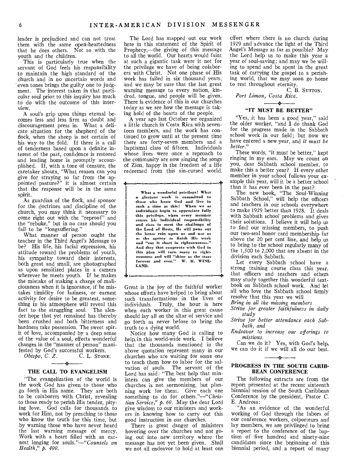leader is prejudiced and can not treat them with the same open-heartedness that he does others. Not so with the youth and the children.

This is particularly true when the servant of God feels his responsibility to maintain the high standard of the church and in no uncertain words and even tones brings the guilty one to judgment. The interest taken in that particular soul prior to this inquiry has much to do with the outcome of this interview.

A soul's grip upon things eternal becomes less and less firm as doubt and discouragement press in. What a delicate situation for the shepherd of the flock, when the sheep is not certain of his way to the fold. If there is a call of tenderness based upon a definite interest of the past, confidence is restored and leading home is promptly accomplished. If, with a tone of censure, the caretaker shouts, "What reason can you give for straying so far from the appointed pasture?" it is almost certain that the response will be in the same spirit.

As guardian of the flock, and sponsor for the doctrines and discipline of the church, you may think it necessary to come right out with the "reproof" and the "rebuke," but in no case should you fail to be "longsuffering."

What manner of person ought the teacher in the Third Angel's Message to be? His life, his facial expression, his attitude toward the problems of youth, his sympathy toward their interests, both great and small, are photographed as upon sensitized plates in a camera wherever he meets youth. If he makes the mistake of making a charge of maliciousness when it is ignorance, if he mistakes timidity for laziness, or earnest activity for desire to be greatest, something in his atmosphere will reveal this fact to the struggling soul. The slender hope that yet remained has thereby been crushed and both bitterness and hardness take possession. The sweet spirit of love, accompanied by a deep sense of the value of a soul, effects wonderful changes in the "manner of person" manifested by God's successful workers.

*Obispo, C. Z.* C. L. STONE.

#### THE CALL TO EVANGELISM

"The evangelization of the world is the work God has given to those who go forth in His name. They are both to be colaborers with Christ, revealing to those ready to perish His tender, pitying love. God calls for thousands to work for Him, not by preaching to those who know the truth for this time, but by warning those who have never heard the last warning message of mercy. Work with a heart filled with an earnest longing for *souls."—"Counsels on Health," p. 499.* 

The Lord has mapped out our work here in this statement of the Spirit of Prophecy,—the giving of this message to all the world. Our hearts would faint at such a gigantic task were it not for the privilege we have of being colaborers with Christ. Not one phase of His work has failed in six thousand years, and we may be sure that the last great warning message to every nation, kindred, tongue, and people will be given. There is evidence of this in our churches today as we see how the message is taking hold of the hearts of the people.

A year ago last October we organized a little church in Costa Rica with seventeen members, and the work has continued to grow until at the present time there are forty-seven members and a baptismal class of fifteen. Individuals whose lives were once a reproach to the community are now singing the songs of Zion, happy in the freedom of a life

redeemed from this sin-cursed world. What a wonderful privilege! What a glorious work is committed to those who know God and live in such a time as this! When we as individuals begin to appreciate fully this privilege, when every member senses his individual responsibility and rises to meet the challenge of the Lord of Hosts, He will pour out the latter rain upon us and use us as the agency to finish His work and "cut it short in righteousness." And they that cooperate with God in this plan will turn many to righteousness and will "shine as the stars forever and ever." W. H. WINE-LAND.

Great is the joy of the faithful worker whose efforts have helped to bring about such transformations in the lives of individuals. Truly, the hour is here when each worker in this great cause should lay all on the altar of service and go forth as never before to bring the truth to a dying world.

.1. 11 1111 1 Ili, III 1111 1111 1111 111 II 1111 040

Notice how many God is calling to help, in this world-wide work. I believe that the thousands mentioned in the above quotation represent many in our churches who are waiting for some one to teach them how to labor for the salvation of souls. The servant of the Lord has said: "The best help that ministers can give the members of our churches is not sermonizing, but planning work for them. Give each one something to do for *others."--"Christian Service," p. 69.* May the dear Lord give wisdom to our ministers and workers in knowing how to carry out this good instruction in our churches.

There is great danger of ministers hovering over the churches and not going out into new territory where the message has not yet been given. Shall we not all endeavor to hold at least one

effort where there is no church during 1929 and advance the light of the Third Angel's Message as far as possible? May the Lord help us to make this year a year of soul-saving; and may we be willing to spend and be spent in the great task of carrying the gospel to a perishing world, that we may soon go home to rest throughout eternity.

C. B. SUTTON. *Port Limon, Costa Rica.* 

### "IT MUST BE BETTER"

*•*

"Yes, it has been a good year," said the older worker, "and I do thank God for the progress made in the Sabbath school work in our field; but now we have entered a new year, and *it must be better."* 

These words, "it must be better," kept ringing in my ears. May we count on you, dear Sabbath school member, to make this a better year? If every other member in your school follows your example this year, will it be a better school than it has ever been in the past?

The new book, "The Soul-Winning Sabbath School," will help the officers and teachers in our schools everywhere to make 1929 better than 1928. It deals with Sabbath school problems and gives their solutions. I believe it will help us to find our missing members, to push our two-seal honor card membership far above the 20 per cent line, and help us to bring to the school regularly many of the 1,500 to 2,000 that are absent in the division each Sabbath.

Let every Sabbath school have a strong training course class this year, that officers and teachers and others may study together this wonderful textbook on Sabbath school work. And let all who love the Sabbath school firmly resolve that this year we will

*Bring in all the missing members* 

*Strive for greater faithfulness in daily study* 

*Strive for better attendance each Sabbath, and* 

*Endeavor to increase our offerings to missions.* 

Can we do it? Yes, with God's help, we can do it if we will all do our best.  $\mathcal{L}_{\mathcal{A}}$ 

#### PROGRESS IN THE SOUTH CARIB-BEAN CONFERENCE

The following extracts are from the report presented at the recent sixteenth biennial session of the South Caribbean Conference by the president, Pastor C. E. Andross:

"As an evidence of the wonderful working of God through the labors of our conference workers, colporteurs and lay members, we are privileged to bring a report to the conference of the baptism of five hundred and ninety-nine candidates since the beginning of this biennial period, and a report of many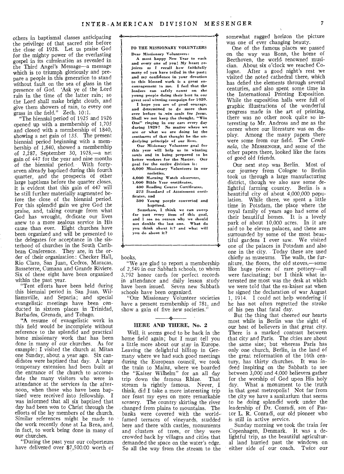others in baptismal classes anticipating the privilege of that sacred rite before the close of 1928. Let us praise God for the mighty power of the everlasting gospel in its culmination as revealed in the Third Angel's Message—a message which is to triumph gloriously and prepare a people in this generation to stand without fault on the sea of glass in the presence of God. 'Ask ye of the Lord rain in the time of the latter rain; so the Lord shall make bright clouds, and give them showers of rain, to every one grass in the field." Zech. 10:1.

"The biennial period of 1925 and 1926 opened up with a membership of 1,705 and closed with a membership of 1840, showing a net gain of 135. The present biennial period beginning with a membership of 1,840, showed a membership of 2,287, September 30, 1928,—a net gain of 447 for the year and nine months of the biennial period. With fortyseven already baptized during this fourth quarter, and the prospects of other large baptisms before the quarter closes, it is evident that this gain of 447 will be still further materially augmented before the close of the biennial period. For this splendid gain we give God the praise, and, taking courage from what God has wrought, dedicate our lives anew to a more zealous service in His cause than ever. Eight churches have been organized and will be presented to the delegates for acceptance in the sisterhood of churches in the South Caribbean Conference. They are, in the order of their organization: Checker Hall, Rio Claro, San Juan, Cedros, Maracas, Basseterre, Cumana and Grande Riviere. Six of these eight have been organized within the past year.

"Tent efforts have been held during this biennial period in San Juan, Williamsville, and Separia; and special evangelistic meetings have been conducted in sixteen places in Trinidad, Barbados, Grenada, and Tobago.

**"A** resume of evangelistic work in this field would be incomplete without reference to the splendid and practical home missionary work that has been done in many of our churches. As for example: I visited the church at Mitan one Sunday, about a year ago. Six candidates were baptized that day. A large temporary extension had been built at the entrance of the church to accomodate the many visitors who were in attendance at the services in the afternoon, when those who have been baptized were received into fellowship. I was informed that all six baptized that day had been won to Christ through the efforts of the lay members of the church. Similar references might be made to the work recently done at La Brea, and, in fact, to work being done in many of our churches.

"During the past year our colporteurs have delivered over \$7,500.00 worth of

#### TO THE MISSIONARY VOLUNTEERS Dear Missionary Volunteers:

1111 1111 1111 I III I I 1111 II II II 4+

A most happy New Year to each and every one of you! My heart rejoices as I recall *how faithfully*  many of you have toiled in the past; and my confidence in your devotion to this blessed work is a great encouragement to me. I feel that the leaders can safely count on the young people doing their best in our great soul winning campaign for 1929.

I hope you are of good courage, and determined to do more than ever before to .win souls for Jesus. Shall we not keep the thought, "Win One" ringing in our ears every day during 1929? No matter where we are or what we are doing let the sentiment of that thought be the underlying principle of our lives.

Our Misionary Volunteer *goal* for this year will help us in winning souls and in being prepared to be better workers for the Master. Our goal for the entire division is: 6,000 Missionary *Volunteers* in *our* 

societies, 4,000 Morning Watch observers,

1,000 Bible Year certificates, 400 Reading Course Certificates,

275 Standard of *Attainment* certificates, and

500 Young people converted and baptized.

Somehow, I think we *can* sweep far past every item of this goal, and I see no reason why we should not double the last one. What do you think about it? and what will .<br>you do about it?

" =<br>"الأولاد المست الاستقلال المست الاستقلال المست الاستقلال المست الاستقلال المست الاستقلال المستقلات الاستقلال

#### books.

"We are glad to report a membership of 2,549 in our Sabbath schools, to whom 3,792 honor cards for perfect records in attendance and daily lesson study have been issued. Seven new Sabbath schools have been organized.

"Our Missionary Volunteer societies have a present membership of 781, and show a gain of five new societies."

#### $\mathbf{A}$ **HERE AND THERE, No. 2**

Well, it seems good to be back in the home field again; but I must tell you a little more about our stay in Europe. Leaving the delightful hilltop in Germany where we had such good meetings during the European council, we took the train to Mainz, where we boarded the "Kaiser Wilhelm" for an all day trip down the famous Rhine. stream is rightly famous. Never, I think, did I take a more interesting trip nor feast my eyes on more remarkable scenery. The country skirting the river changed from plains to mountains. The banks were covered with the worldfamed terraces of vineyards, studded here and there with castles, monuments and clusters of trees, or they were crowded back by villages and cities that demanded the space on the water's edge. So all the way from the stream to the somewhat ragged horizon the picture was one of ever changing beauty.

One of the famous places we passed on the way was Bonn, the home of Beethoven, the world renowned musician. About six o'clock we reached Cologne. After a good night's rest we visited the noted cathedral there, which has defied the elements through several centuries, and also spent some time in the International Printing Exposition. While the exposition halls were full of graphic illustrations of the wonderful progress made in the art of printing, there was no other nook quite so interesting to Mr. Andross and me as the corner where our literature was on display. Among the many papers there were some from our field. The *Centinela,* the MESSENGER, and some of the other papers there, looked like the faces of good old friends.

Our next stop was Berlin. Most of our journey from Cologne to Berlin took us through a large manufacturing district, though we also saw some delightful farming country. Berlin is a beautiful city of about 4,000,000 population. While there, we spent a little time in Potsdam, the place where the royal family of years ago had some of their beautiful homes. It is a lovely park of about 10,000 acres. In it are said to be eleven palaces, and these are surrounded by some of the most beautiful gardens I ever saw. We visited one of the palaces in Potsdam and also one in the city. Today these are used chiefly as museums. The walls, the furniture, the floors, the old stoves,—some like huge pieces of rare pottery—all were fascinating; but I think what interested me most was the desk at which we were told that the ex-kaiser sat when he signed the declaration of war August 1, 1914. I could not help wondering if he has not often regretted the stroke of his pen that fatal day.

But the thing that cheered our hearts most while in Berlin was the sight of our host of believers in that great city. There is a marked contrast between that city and Paris. The cities are about the same size; but whereas Paris has only one church, Berlin, in the land of the great reformation of the 16th century, has thirty churches. It was indeed inspiring on the Sabbath to see between 3,000 and 4,000 believers gather for the worship of God upon His holy day. What a monument to the truth in that great metropolis! Not far from the city we have a sanitarium that seems to be doing splendid work under the leadership of Dr. Conradi, son of Pastor L. **R.** Conradi, our old pioneer who is still in active service.

Sunday morning we took the train for Copenhagen, Denmark. It was a delightful trip, as the beautiful agricultural land hurried past the windows on either side of our coach. Twice our